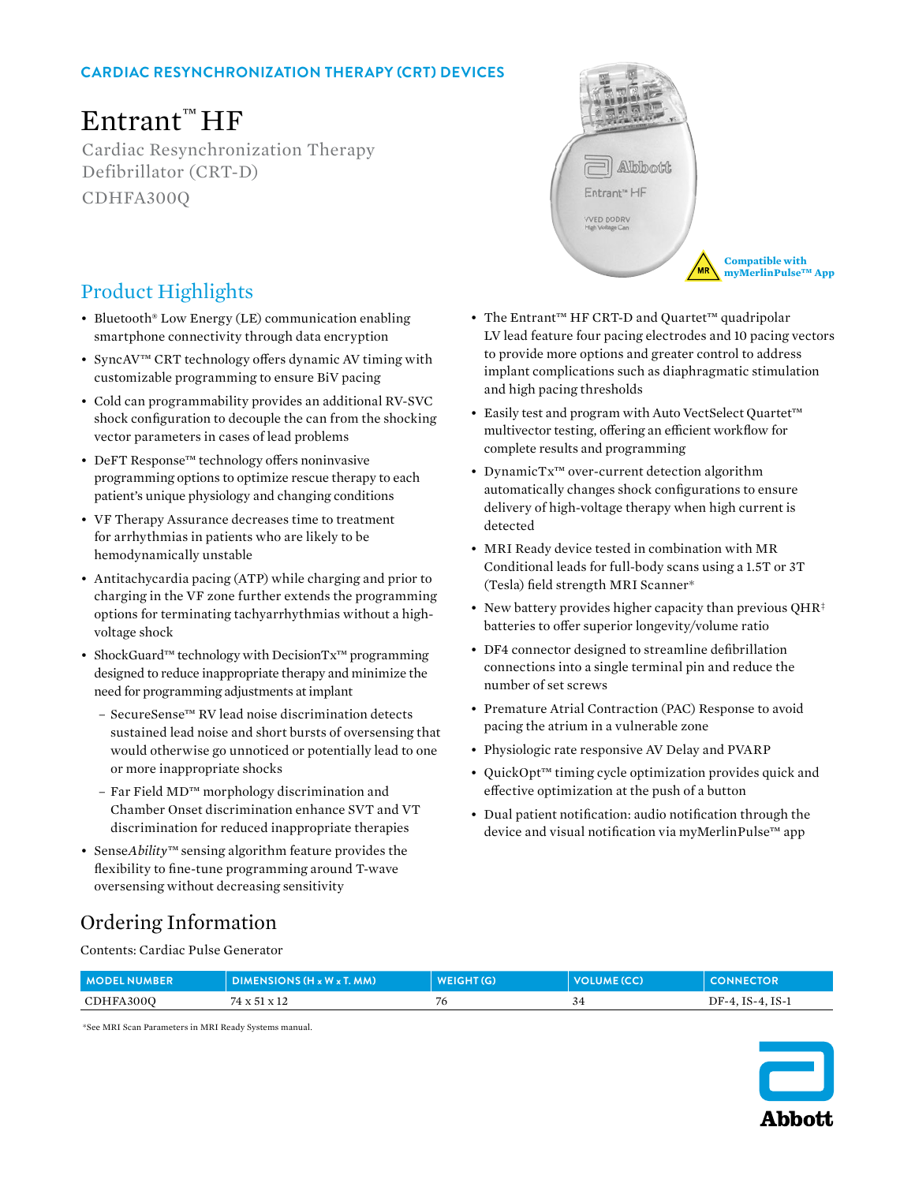## **CARDIAC RESYNCHRONIZATION THERAPY (CRT) DEVICES**

# Entrant™ HF

Cardiac Resynchronization Therapy Defibrillator (CRT-D) CDHFA300Q



**Compatible with myMerlinPulse™ App** 

## Product Highlights

- Bluetooth® Low Energy (LE) communication enabling smartphone connectivity through data encryption
- SyncAV™ CRT technology offers dynamic AV timing with customizable programming to ensure BiV pacing
- Cold can programmability provides an additional RV-SVC shock configuration to decouple the can from the shocking vector parameters in cases of lead problems
- DeFT Response™ technology offers noninvasive programming options to optimize rescue therapy to each patient's unique physiology and changing conditions
- VF Therapy Assurance decreases time to treatment for arrhythmias in patients who are likely to be hemodynamically unstable
- Antitachycardia pacing (ATP) while charging and prior to charging in the VF zone further extends the programming options for terminating tachyarrhythmias without a highvoltage shock
- ShockGuard™ technology with DecisionTx™ programming designed to reduce inappropriate therapy and minimize the need for programming adjustments at implant
	- SecureSense™ RV lead noise discrimination detects sustained lead noise and short bursts of oversensing that would otherwise go unnoticed or potentially lead to one or more inappropriate shocks
	- Far Field MD™ morphology discrimination and Chamber Onset discrimination enhance SVT and VT discrimination for reduced inappropriate therapies
- Sense*Ability™* sensing algorithm feature provides the flexibility to fine-tune programming around T-wave oversensing without decreasing sensitivity
- The Entrant™ HF CRT-D and Quartet™ quadripolar LV lead feature four pacing electrodes and 10 pacing vectors to provide more options and greater control to address implant complications such as diaphragmatic stimulation and high pacing thresholds
- Easily test and program with Auto VectSelect Quartet™ multivector testing, offering an efficient workflow for complete results and programming
- DynamicTx™ over-current detection algorithm automatically changes shock configurations to ensure delivery of high-voltage therapy when high current is detected
- MRI Ready device tested in combination with MR Conditional leads for full-body scans using a 1.5T or 3T (Tesla) field strength MRI Scanner\*
- New battery provides higher capacity than previous QHR<sup>‡</sup> batteries to offer superior longevity/volume ratio
- DF4 connector designed to streamline defibrillation connections into a single terminal pin and reduce the number of set screws
- Premature Atrial Contraction (PAC) Response to avoid pacing the atrium in a vulnerable zone
- Physiologic rate responsive AV Delay and PVARP
- QuickOpt™ timing cycle optimization provides quick and effective optimization at the push of a button
- Dual patient notification: audio notification through the device and visual notification via myMerlinPulse™ app

## Ordering Information

Contents: Cardiac Pulse Generator

| <b>MODELNUMBER</b> | $DIMENSIONS (Hx Wx T, MM)$ | <b>WEIGHT(G)</b> | VOLUME (CC) | <b>CONNECTOR</b> |
|--------------------|----------------------------|------------------|-------------|------------------|
| CDHFA300O          | 74 x 51 x 12               | 76               |             | DF-4, IS-4, IS-1 |

\*See MRI Scan Parameters in MRI Ready Systems manual.

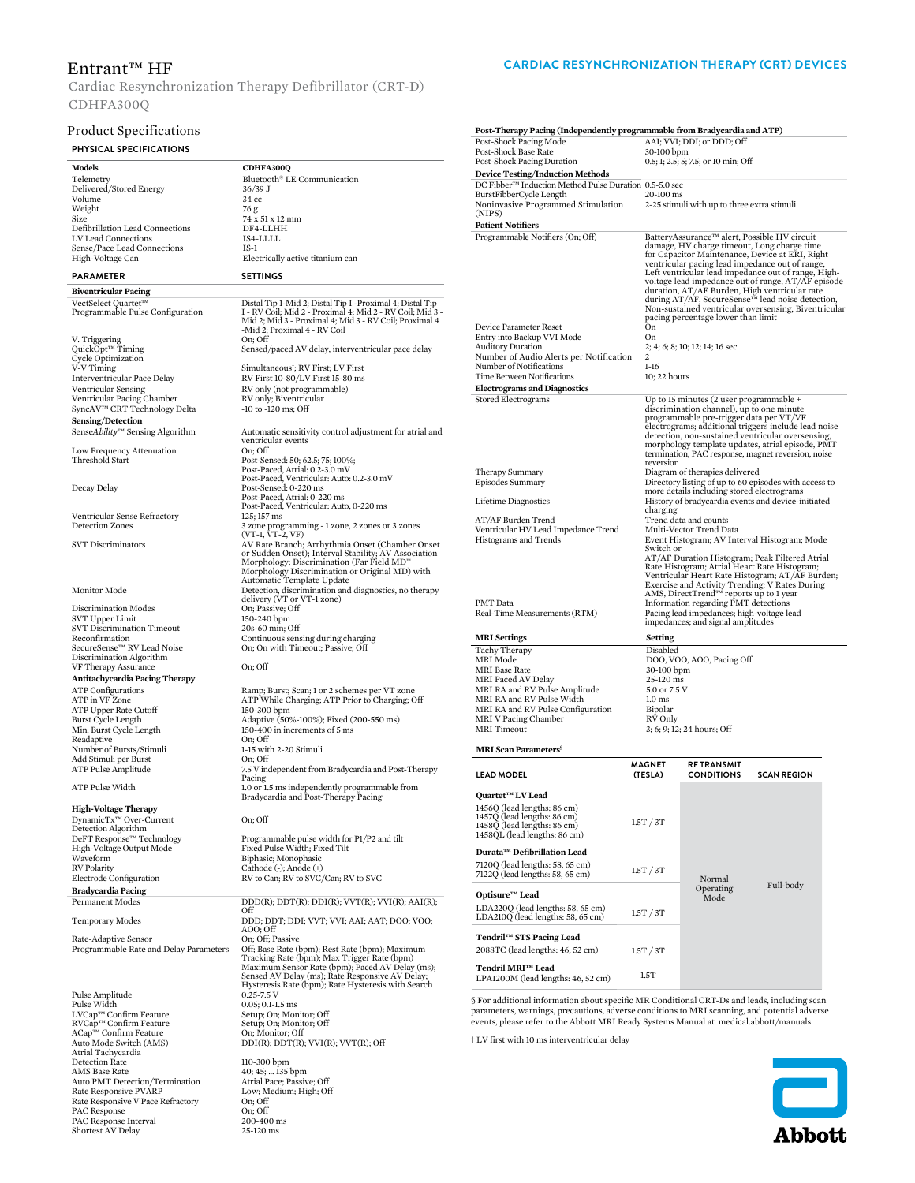### Entrant™ HF

Cardiac Resynchronization Therapy Defibrillator (CRT-D) CDHFA300Q

#### Product Specifications

### **PHYSICAL SPECIFICATIONS**

| Models                                                            | CDHFA300Q                                                                                                                                           |  |  |
|-------------------------------------------------------------------|-----------------------------------------------------------------------------------------------------------------------------------------------------|--|--|
| Telemetry                                                         | Bluetooth® LE Communication                                                                                                                         |  |  |
| Delivered/Stored Energy<br>Volume                                 | 36/39 J                                                                                                                                             |  |  |
| Weight                                                            | 34 cc<br>76 g                                                                                                                                       |  |  |
| Size                                                              | 74 x 51 x 12 mm                                                                                                                                     |  |  |
| Defibrillation Lead Connections                                   | DF4-LLHH                                                                                                                                            |  |  |
| LV Lead Connections<br>Sense/Pace Lead Connections                | IS4-LLLL<br>IS-1                                                                                                                                    |  |  |
| High-Voltage Can                                                  | Electrically active titanium can                                                                                                                    |  |  |
| PARAMETER                                                         | <b>SETTINGS</b>                                                                                                                                     |  |  |
|                                                                   |                                                                                                                                                     |  |  |
| <b>Biventricular Pacing</b><br>VectSelect Quartet™                | Distal Tip 1-Mid 2; Distal Tip I -Proximal 4; Distal Tip                                                                                            |  |  |
| Programmable Pulse Configuration                                  | I - RV Coil; Mid 2 - Proximal 4; Mid 2 - RV Coil; Mid 3 -<br>Mid 2; Mid 3 - Proximal 4; Mid 3 - RV Coil; Proximal 4<br>-Mid 2; Proximal 4 - RV Coil |  |  |
| V. Triggering                                                     | On; Off                                                                                                                                             |  |  |
| QuickOpt™ Timing<br>Cycle Optimization                            | Sensed/paced AV delay, interventricular pace delay                                                                                                  |  |  |
| V-V Timing                                                        | Simultaneous <sup>†</sup> ; RV First; LV First                                                                                                      |  |  |
| Interventricular Pace Delay                                       | RV First 10-80/LV First 15-80 ms                                                                                                                    |  |  |
| Ventricular Sensing                                               | RV only (not programmable)<br>RV only; Biventricular                                                                                                |  |  |
| Ventricular Pacing Chamber<br>SyncAV™ CRT Technology Delta        | -10 to -120 ms; Off                                                                                                                                 |  |  |
| Sensing/Detection                                                 |                                                                                                                                                     |  |  |
| SenseAbility™ Sensing Algorithm                                   | Automatic sensitivity control adjustment for atrial and                                                                                             |  |  |
|                                                                   | ventricular events<br>On: Off                                                                                                                       |  |  |
| Low Frequency Attenuation<br>Threshold Start                      | Post-Sensed: 50; 62.5; 75; 100%;                                                                                                                    |  |  |
|                                                                   | Post-Paced, Atrial: 0.2-3.0 mV                                                                                                                      |  |  |
|                                                                   | Post-Paced, Ventricular: Auto: 0.2-3.0 mV                                                                                                           |  |  |
| Decay Delay                                                       | Post-Sensed: 0-220 ms<br>Post-Paced, Atrial: 0-220 ms                                                                                               |  |  |
|                                                                   | Post-Paced, Ventricular: Auto, 0-220 ms                                                                                                             |  |  |
| Ventricular Sense Refractory                                      | 125; 157 ms                                                                                                                                         |  |  |
| Detection Zones                                                   | 3 zone programming - 1 zone, 2 zones or 3 zones<br>(VT-1, VT-2, VF)                                                                                 |  |  |
| <b>SVT Discriminators</b>                                         | AV Rate Branch; Arrhythmia Onset (Chamber Onset)                                                                                                    |  |  |
|                                                                   | or Sudden Onset); Interval Stability; AV Association                                                                                                |  |  |
|                                                                   | Morphology; Discrimination (Far Field MD"<br>Morphology Discrimination or Original MD) with                                                         |  |  |
|                                                                   | Automatic Template Update                                                                                                                           |  |  |
| <b>Monitor Mode</b>                                               | Detection, discrimination and diagnostics, no therapy                                                                                               |  |  |
| Discrimination Modes                                              | delivery (VT or VT-1 zone)<br>On; Passive; Off                                                                                                      |  |  |
| SVT Upper Limit                                                   | 150-240 bpm                                                                                                                                         |  |  |
| SVT Discrimination Timeout                                        | 20s-60 min; Off                                                                                                                                     |  |  |
| Reconfirmation<br>SecureSense™ RV Lead Noise                      | Continuous sensing during charging<br>On; On with Timeout; Passive; Off                                                                             |  |  |
| Discrimination Algorithm                                          |                                                                                                                                                     |  |  |
| VF Therapy Assurance                                              | On; Off                                                                                                                                             |  |  |
| Antitachycardia Pacing Therapy                                    |                                                                                                                                                     |  |  |
| <b>ATP</b> Configurations<br>ATP in VF Zone                       | Ramp; Burst; Scan; 1 or 2 schemes per VT zone<br>ATP While Charging; ATP Prior to Charging; Off                                                     |  |  |
| ATP Upper Rate Cutoff                                             | 150-300 bpm                                                                                                                                         |  |  |
| Burst Cycle Length                                                | Adaptive (50%-100%); Fixed (200-550 ms)                                                                                                             |  |  |
| Min. Burst Cycle Length                                           | 150-400 in increments of 5 ms                                                                                                                       |  |  |
| Readaptive<br>Number of Bursts/Stimuli                            | On: Off<br>1-15 with 2-20 Stimuli                                                                                                                   |  |  |
| Add Stimuli per Burst                                             | On; Off                                                                                                                                             |  |  |
| <b>ATP Pulse Amplitude</b>                                        | 7.5 V independent from Bradycardia and Post-Therapy                                                                                                 |  |  |
| ATP Pulse Width                                                   | Pacing<br>1.0 or 1.5 ms independently programmable from                                                                                             |  |  |
|                                                                   | Bradycardia and Post-Therapy Pacing                                                                                                                 |  |  |
| <b>High-Voltage Therapy</b>                                       |                                                                                                                                                     |  |  |
| DynamicTx™ Over-Current                                           | On: Off                                                                                                                                             |  |  |
| Detection Algorithm                                               | Programmable pulse width for P1/P2 and tilt                                                                                                         |  |  |
| DeFT Response <sup>™</sup> Technology<br>High-Voltage Output Mode | Fixed Pulse Width; Fixed Tilt                                                                                                                       |  |  |
| Waveform                                                          | Biphasic; Monophasic                                                                                                                                |  |  |
| <b>RV</b> Polarity                                                | Cathode (-); Anode (+)                                                                                                                              |  |  |
| Electrode Configuration                                           | RV to Can; RV to SVC/Can; RV to SVC                                                                                                                 |  |  |
| Bradycardia Pacing<br><b>Permanent Modes</b>                      | $DDD(R);$ $DDT(R);$ $DDI(R);$ $VVT(R);$ $VVI(R);$ $AAI(R);$                                                                                         |  |  |
|                                                                   | Off                                                                                                                                                 |  |  |
| <b>Temporary Modes</b>                                            | DDD; DDT; DDI; VVT; VVI; AAI; AAT; DOO; VOO;                                                                                                        |  |  |
| Rate-Adaptive Sensor                                              | AOO: Off<br>On; Off; Passive                                                                                                                        |  |  |
| Programmable Rate and Delay Parameters                            | Off; Base Rate (bpm); Rest Rate (bpm); Maximum                                                                                                      |  |  |
|                                                                   | Tracking Rate (bpm); Max Trigger Rate (bpm)                                                                                                         |  |  |
|                                                                   | Maximum Sensor Rate (bpm); Paced AV Delay (ms);<br>Sensed AV Delay (ms); Rate Responsive AV Delay;                                                  |  |  |
|                                                                   | Hysteresis Rate (bpm); Rate Hysteresis with Search                                                                                                  |  |  |
| Pulse Amplitude                                                   | $0.25 - 7.5$ V                                                                                                                                      |  |  |
| Pulse Width<br>LVCap™ Confirm Feature                             | $0.05; 0.1-1.5$ ms<br>Setup; On; Monitor; Off                                                                                                       |  |  |
| RVCap™ Confirm Feature                                            | Setup; On; Monitor; Off                                                                                                                             |  |  |
| ACap™ Confirm Feature                                             | On; Monitor; Off                                                                                                                                    |  |  |
| Auto Mode Switch (AMS)<br>Atrial Tachycardia                      | $DDI(R)$ ; $DDT(R)$ ; $VVI(R)$ ; $VVT(R)$ ; Off                                                                                                     |  |  |
| <b>Detection Rate</b>                                             | 110-300 bpm                                                                                                                                         |  |  |
| AMS Base Rate                                                     | 40; 45;  135 bpm                                                                                                                                    |  |  |
| Auto PMT Detection/Termination                                    | Atrial Pace; Passive; Off                                                                                                                           |  |  |
| Rate Responsive PVARP<br>Rate Responsive V Pace Refractory        | Low; Medium; High; Off<br>On; Off                                                                                                                   |  |  |
| PAC Response                                                      | On; Off                                                                                                                                             |  |  |
| PAC Response Interval                                             | 200-400 ms                                                                                                                                          |  |  |
| Shortest AV Delay                                                 | 25-120 ms                                                                                                                                           |  |  |

#### **CARDIAC RESYNCHRONIZATION THERAPY (CRT) DEVICES**

| Post-Therapy Pacing (Independently programmable from Bradycardia and ATP)                                                                                 |                                                                                                                                                                                                                                                                                                                                                                                                  |                                                                                                                                                                                                                                                                                                                                                                                                                                                                                                                               |                                                                                                                                       |  |  |  |
|-----------------------------------------------------------------------------------------------------------------------------------------------------------|--------------------------------------------------------------------------------------------------------------------------------------------------------------------------------------------------------------------------------------------------------------------------------------------------------------------------------------------------------------------------------------------------|-------------------------------------------------------------------------------------------------------------------------------------------------------------------------------------------------------------------------------------------------------------------------------------------------------------------------------------------------------------------------------------------------------------------------------------------------------------------------------------------------------------------------------|---------------------------------------------------------------------------------------------------------------------------------------|--|--|--|
| Post-Shock Pacing Mode<br>Post-Shock Base Rate<br>Post-Shock Pacing Duration                                                                              |                                                                                                                                                                                                                                                                                                                                                                                                  | AAI; VVI; DDI; or DDD; Off<br>30-100 bpm<br>0.5; 1; 2.5; 5; 7.5; or 10 min; Off                                                                                                                                                                                                                                                                                                                                                                                                                                               |                                                                                                                                       |  |  |  |
| <b>Device Testing/Induction Methods</b>                                                                                                                   |                                                                                                                                                                                                                                                                                                                                                                                                  |                                                                                                                                                                                                                                                                                                                                                                                                                                                                                                                               |                                                                                                                                       |  |  |  |
| DC Fibber <sup>™</sup> Induction Method Pulse Duration 0.5-5.0 sec                                                                                        |                                                                                                                                                                                                                                                                                                                                                                                                  |                                                                                                                                                                                                                                                                                                                                                                                                                                                                                                                               |                                                                                                                                       |  |  |  |
| BurstFibberCycle Length<br>Noninvasive Programmed Stimulation                                                                                             | 20-100 ms                                                                                                                                                                                                                                                                                                                                                                                        | 2-25 stimuli with up to three extra stimuli                                                                                                                                                                                                                                                                                                                                                                                                                                                                                   |                                                                                                                                       |  |  |  |
| (NIPS)                                                                                                                                                    |                                                                                                                                                                                                                                                                                                                                                                                                  |                                                                                                                                                                                                                                                                                                                                                                                                                                                                                                                               |                                                                                                                                       |  |  |  |
| <b>Patient Notifiers</b>                                                                                                                                  |                                                                                                                                                                                                                                                                                                                                                                                                  |                                                                                                                                                                                                                                                                                                                                                                                                                                                                                                                               |                                                                                                                                       |  |  |  |
| Programmable Notifiers (On; Off)<br>Device Parameter Reset                                                                                                | On                                                                                                                                                                                                                                                                                                                                                                                               | BatteryAssurance™ alert, Possible HV circuit<br>damage, HV charge timeout, Long charge time<br>for Capacitor Maintenance, Device at ERI, Right<br>ventricular pacing lead impedance out of range,<br>Left ventricular lead impedance out of range, High-<br>voltage lead impedance out of range, AT/AF episode<br>duration, AT/AF Burden, High ventricular rate<br>during AT/AF, SecureSense <sup>™</sup> lead noise detection,<br>Non-sustained ventricular oversensing, Biventricular<br>pacing percentage lower than limit |                                                                                                                                       |  |  |  |
| Entry into Backup VVI Mode                                                                                                                                | On                                                                                                                                                                                                                                                                                                                                                                                               |                                                                                                                                                                                                                                                                                                                                                                                                                                                                                                                               |                                                                                                                                       |  |  |  |
| <b>Auditory Duration</b><br>Number of Audio Alerts per Notification                                                                                       | $\overline{c}$                                                                                                                                                                                                                                                                                                                                                                                   | 2; 4; 6; 8; 10; 12; 14; 16 sec                                                                                                                                                                                                                                                                                                                                                                                                                                                                                                |                                                                                                                                       |  |  |  |
| Number of Notifications                                                                                                                                   | $1-16$                                                                                                                                                                                                                                                                                                                                                                                           |                                                                                                                                                                                                                                                                                                                                                                                                                                                                                                                               |                                                                                                                                       |  |  |  |
| Time Between Notifications                                                                                                                                |                                                                                                                                                                                                                                                                                                                                                                                                  | 10; 22 hours                                                                                                                                                                                                                                                                                                                                                                                                                                                                                                                  |                                                                                                                                       |  |  |  |
| <b>Electrograms and Diagnostics</b>                                                                                                                       |                                                                                                                                                                                                                                                                                                                                                                                                  |                                                                                                                                                                                                                                                                                                                                                                                                                                                                                                                               |                                                                                                                                       |  |  |  |
| Stored Electrograms                                                                                                                                       |                                                                                                                                                                                                                                                                                                                                                                                                  | Up to 15 minutes (2 user programmable +<br>discrimination channel), up to one minute<br>programmable pre-trigger data per VT/VF<br>electrograms; additional triggers include lead noise<br>detection, non-sustained ventricular oversensing,<br>morphology template updates, atrial episode, PMT<br>termination, PAC response, magnet reversion, noise<br>reversion                                                                                                                                                           |                                                                                                                                       |  |  |  |
| Therapy Summary<br>Episodes Summary                                                                                                                       |                                                                                                                                                                                                                                                                                                                                                                                                  |                                                                                                                                                                                                                                                                                                                                                                                                                                                                                                                               | Diagram of therapies delivered<br>Directory listing of up to 60 episodes with access to<br>more details including stored electrograms |  |  |  |
| Lifetime Diagnostics                                                                                                                                      | charging                                                                                                                                                                                                                                                                                                                                                                                         | History of bradycardia events and device-initiated                                                                                                                                                                                                                                                                                                                                                                                                                                                                            |                                                                                                                                       |  |  |  |
| AT/AF Burden Trend                                                                                                                                        | Trend data and counts                                                                                                                                                                                                                                                                                                                                                                            |                                                                                                                                                                                                                                                                                                                                                                                                                                                                                                                               |                                                                                                                                       |  |  |  |
| Ventricular HV Lead Impedance Trend<br>Histograms and Trends                                                                                              | Multi-Vector Trend Data<br>Event Histogram; AV Interval Histogram; Mode                                                                                                                                                                                                                                                                                                                          |                                                                                                                                                                                                                                                                                                                                                                                                                                                                                                                               |                                                                                                                                       |  |  |  |
| PMT Data<br>Real-Time Measurements (RTM)                                                                                                                  | Switch or<br>AT/AF Duration Histogram; Peak Filtered Atrial<br>Rate Histogram; Atrial Heart Rate Histogram;<br>Ventricular Heart Rate Histogram; AT/AF Burden;<br>Exercise and Activity Trending; V Rates During<br>AMS, DirectTrend <sup>™</sup> reports up to 1 year<br>Information regarding PMT detections<br>Pacing lead impedances; high-voltage lead<br>impedances; and signal amplitudes |                                                                                                                                                                                                                                                                                                                                                                                                                                                                                                                               |                                                                                                                                       |  |  |  |
| <b>MRI</b> Settings                                                                                                                                       | Setting                                                                                                                                                                                                                                                                                                                                                                                          |                                                                                                                                                                                                                                                                                                                                                                                                                                                                                                                               |                                                                                                                                       |  |  |  |
| Tachy Therapy                                                                                                                                             | Disabled                                                                                                                                                                                                                                                                                                                                                                                         |                                                                                                                                                                                                                                                                                                                                                                                                                                                                                                                               |                                                                                                                                       |  |  |  |
| MRI Mode                                                                                                                                                  |                                                                                                                                                                                                                                                                                                                                                                                                  | DOO, VOO, AOO, Pacing Off                                                                                                                                                                                                                                                                                                                                                                                                                                                                                                     |                                                                                                                                       |  |  |  |
| <b>MRI</b> Base Rate<br>MRI Paced AV Delay                                                                                                                | 30-100 bpm<br>25-120 ms                                                                                                                                                                                                                                                                                                                                                                          |                                                                                                                                                                                                                                                                                                                                                                                                                                                                                                                               |                                                                                                                                       |  |  |  |
| MRI RA and RV Pulse Amplitude                                                                                                                             |                                                                                                                                                                                                                                                                                                                                                                                                  | 5.0 or 7.5 V                                                                                                                                                                                                                                                                                                                                                                                                                                                                                                                  |                                                                                                                                       |  |  |  |
| MRI RA and RV Pulse Width<br>MRI RA and RV Pulse Configuration                                                                                            | $1.0$ ms<br>Bipolar                                                                                                                                                                                                                                                                                                                                                                              |                                                                                                                                                                                                                                                                                                                                                                                                                                                                                                                               |                                                                                                                                       |  |  |  |
| MRI V Pacing Chamber                                                                                                                                      | RV Only                                                                                                                                                                                                                                                                                                                                                                                          |                                                                                                                                                                                                                                                                                                                                                                                                                                                                                                                               |                                                                                                                                       |  |  |  |
| <b>MRI</b> Timeout                                                                                                                                        |                                                                                                                                                                                                                                                                                                                                                                                                  | 3; 6; 9; 12; 24 hours; Off                                                                                                                                                                                                                                                                                                                                                                                                                                                                                                    |                                                                                                                                       |  |  |  |
| <b>MRI Scan Parameters</b> <sup>§</sup>                                                                                                                   |                                                                                                                                                                                                                                                                                                                                                                                                  |                                                                                                                                                                                                                                                                                                                                                                                                                                                                                                                               |                                                                                                                                       |  |  |  |
| <b>LEAD MODEL</b>                                                                                                                                         | <b>MAGNET</b><br>(TESLA)                                                                                                                                                                                                                                                                                                                                                                         | RF TRANSMIT<br><b>CONDITIONS</b>                                                                                                                                                                                                                                                                                                                                                                                                                                                                                              | <b>SCAN REGION</b>                                                                                                                    |  |  |  |
| Quartet <sup>™</sup> LV Lead<br>1456Q (lead lengths: 86 cm)<br>1457Q (lead lengths: 86 cm)<br>1458Q (lead lengths: 86 cm)<br>1458QL (lead lengths: 86 cm) | 1.5T / 3T                                                                                                                                                                                                                                                                                                                                                                                        |                                                                                                                                                                                                                                                                                                                                                                                                                                                                                                                               |                                                                                                                                       |  |  |  |
| Durata™ Defibrillation Lead                                                                                                                               |                                                                                                                                                                                                                                                                                                                                                                                                  |                                                                                                                                                                                                                                                                                                                                                                                                                                                                                                                               |                                                                                                                                       |  |  |  |
| 7120Q (lead lengths: 58, 65 cm)<br>7122Q (lead lengths: 58, 65 cm)                                                                                        | 1.5T / 3T                                                                                                                                                                                                                                                                                                                                                                                        | Normal                                                                                                                                                                                                                                                                                                                                                                                                                                                                                                                        |                                                                                                                                       |  |  |  |
| Optisure™ Lead                                                                                                                                            |                                                                                                                                                                                                                                                                                                                                                                                                  | Operating                                                                                                                                                                                                                                                                                                                                                                                                                                                                                                                     | Full-body                                                                                                                             |  |  |  |
| LDA220Q (lead lengths: 58, 65 cm)<br>LDA210Q (lead lengths: 58, 65 cm)                                                                                    | 1.5T / 3T                                                                                                                                                                                                                                                                                                                                                                                        | Mode                                                                                                                                                                                                                                                                                                                                                                                                                                                                                                                          |                                                                                                                                       |  |  |  |
| Tendril™ STS Pacing Lead<br>2088TC (lead lengths: 46, 52 cm)                                                                                              | 1.5T / 3T                                                                                                                                                                                                                                                                                                                                                                                        |                                                                                                                                                                                                                                                                                                                                                                                                                                                                                                                               |                                                                                                                                       |  |  |  |
| Tendril MRI™ Lead<br>LPA1200M (lead lengths: 46, 52 cm)                                                                                                   | 1.5T                                                                                                                                                                                                                                                                                                                                                                                             |                                                                                                                                                                                                                                                                                                                                                                                                                                                                                                                               |                                                                                                                                       |  |  |  |

§ For additional information about specific MR Conditional CRT-Ds and leads, including scan<br>parameters, warnings, precautions, adverse conditions to MRI scanning, and potential adverse<br>events, please refer to the Abbott MR

**†** LV first with 10 ms interventricular delay